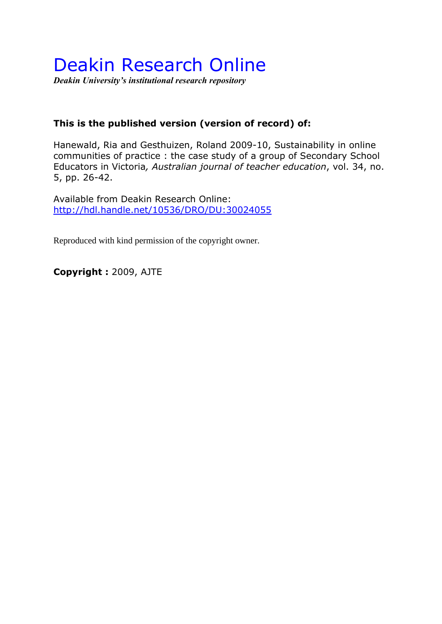# Deakin Research Online

*Deakin University's institutional research repository*

# **This is the published version (version of record) of:**

Hanewald, Ria and Gesthuizen, Roland 2009-10, Sustainability in online communities of practice : the case study of a group of Secondary School Educators in Victoria*, Australian journal of teacher education*, vol. 34, no. 5, pp. 26-42.

Available from Deakin Research Online: <http://hdl.handle.net/10536/DRO/DU:30024055>

Reproduced with kind permission of the copyright owner.

**Copyright :** 2009, AJTE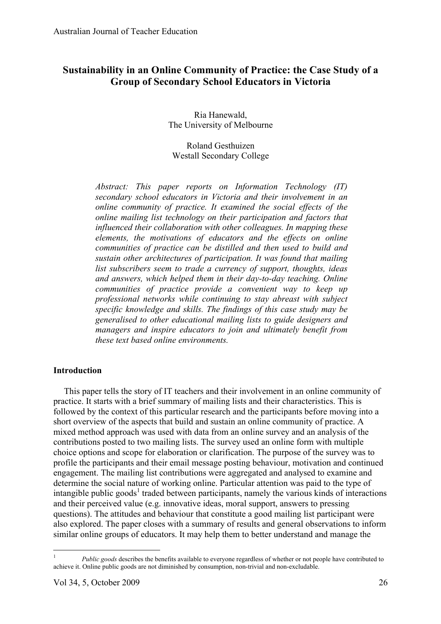# **Sustainability in an Online Community of Practice: the Case Study of a Group of Secondary School Educators in Victoria**

Ria Hanewald, The University of Melbourne

Roland Gesthuizen Westall Secondary College

*Abstract: This paper reports on Information Technology (IT) secondary school educators in Victoria and their involvement in an online community of practice. It examined the social effects of the online mailing list technology on their participation and factors that influenced their collaboration with other colleagues. In mapping these elements, the motivations of educators and the effects on online communities of practice can be distilled and then used to build and sustain other architectures of participation. It was found that mailing list subscribers seem to trade a currency of support, thoughts, ideas and answers, which helped them in their day-to-day teaching. Online communities of practice provide a convenient way to keep up professional networks while continuing to stay abreast with subject specific knowledge and skills. The findings of this case study may be generalised to other educational mailing lists to guide designers and managers and inspire educators to join and ultimately benefit from these text based online environments.* 

# **Introduction**

This paper tells the story of IT teachers and their involvement in an online community of practice. It starts with a brief summary of mailing lists and their characteristics. This is followed by the context of this particular research and the participants before moving into a short overview of the aspects that build and sustain an online community of practice. A mixed method approach was used with data from an online survey and an analysis of the contributions posted to two mailing lists. The survey used an online form with multiple choice options and scope for elaboration or clarification. The purpose of the survey was to profile the participants and their email message posting behaviour, motivation and continued engagement. The mailing list contributions were aggregated and analysed to examine and determine the social nature of working online. Particular attention was paid to the type of intangible public goods<sup>1</sup> traded between participants, namely the various kinds of interactions and their perceived value (e.g. innovative ideas, moral support, answers to pressing questions). The attitudes and behaviour that constitute a good mailing list participant were also explored. The paper closes with a summary of results and general observations to inform similar online groups of educators. It may help them to better understand and manage the

<sup>&</sup>lt;sup>1</sup> *Public goods* describes the benefits available to everyone regardless of whether or not people have contributed to achieve it. Online public goods are not diminished by consumption, non-trivial and non-excludable.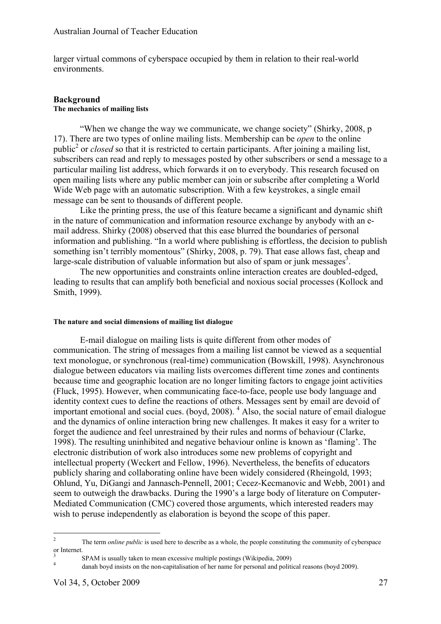larger virtual commons of cyberspace occupied by them in relation to their real-world environments.

#### **Background The mechanics of mailing lists**

"When we change the way we communicate, we change society" (Shirky, 2008, p 17). There are two types of online mailing lists. Membership can be *open* to the online public<sup>2</sup> or *closed* so that it is restricted to certain participants. After joining a mailing list, subscribers can read and reply to messages posted by other subscribers or send a message to a particular mailing list address, which forwards it on to everybody. This research focused on open mailing lists where any public member can join or subscribe after completing a World Wide Web page with an automatic subscription. With a few keystrokes, a single email message can be sent to thousands of different people.

Like the printing press, the use of this feature became a significant and dynamic shift in the nature of communication and information resource exchange by anybody with an email address. Shirky (2008) observed that this ease blurred the boundaries of personal information and publishing. "In a world where publishing is effortless, the decision to publish something isn't terribly momentous" (Shirky, 2008, p. 79). That ease allows fast, cheap and large-scale distribution of valuable information but also of spam or junk messages<sup>3</sup>.

The new opportunities and constraints online interaction creates are doubled-edged, leading to results that can amplify both beneficial and noxious social processes (Kollock and Smith, 1999).

# **The nature and social dimensions of mailing list dialogue**

E-mail dialogue on mailing lists is quite different from other modes of communication. The string of messages from a mailing list cannot be viewed as a sequential text monologue, or synchronous (real-time) communication (Bowskill, 1998). Asynchronous dialogue between educators via mailing lists overcomes different time zones and continents because time and geographic location are no longer limiting factors to engage joint activities (Fluck, 1995). However, when communicating face-to-face, people use body language and identity context cues to define the reactions of others. Messages sent by email are devoid of important emotional and social cues. (boyd, 2008). <sup>4</sup> Also, the social nature of email dialogue and the dynamics of online interaction bring new challenges. It makes it easy for a writer to forget the audience and feel unrestrained by their rules and norms of behaviour (Clarke, 1998). The resulting uninhibited and negative behaviour online is known as 'flaming'. The electronic distribution of work also introduces some new problems of copyright and intellectual property (Weckert and Fellow, 1996). Nevertheless, the benefits of educators publicly sharing and collaborating online have been widely considered (Rheingold, 1993; Ohlund, Yu, DiGangi and Jannasch-Pennell, 2001; Cecez-Kecmanovic and Webb, 2001) and seem to outweigh the drawbacks. During the 1990's a large body of literature on Computer-Mediated Communication (CMC) covered those arguments, which interested readers may wish to peruse independently as elaboration is beyond the scope of this paper.

 <sup>2</sup> The term *online public* is used here to describe as a whole, the people constituting the community of cyberspace or Internet.

 $3$  SPAM is usually taken to mean excessive multiple postings (Wikipedia, 2009) danah boyd insists on the non-capitalisation of her name for personal and political reasons (boyd 2009).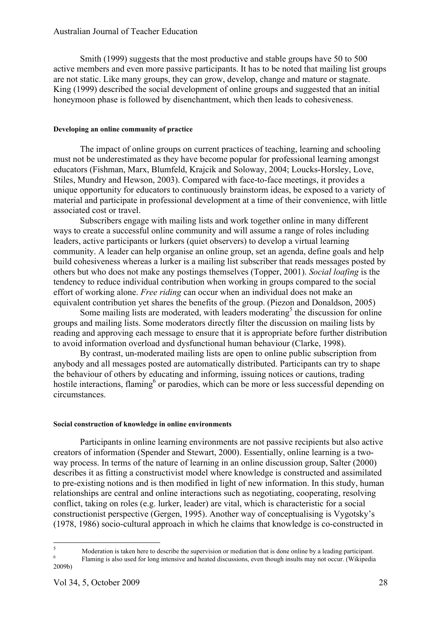## Australian Journal of Teacher Education

Smith (1999) suggests that the most productive and stable groups have 50 to 500 active members and even more passive participants. It has to be noted that mailing list groups are not static. Like many groups, they can grow, develop, change and mature or stagnate. King (1999) described the social development of online groups and suggested that an initial honeymoon phase is followed by disenchantment, which then leads to cohesiveness.

#### **Developing an online community of practice**

The impact of online groups on current practices of teaching, learning and schooling must not be underestimated as they have become popular for professional learning amongst educators (Fishman, Marx, Blumfeld, Krajcik and Soloway, 2004; Loucks-Horsley, Love, Stiles, Mundry and Hewson, 2003). Compared with face-to-face meetings, it provides a unique opportunity for educators to continuously brainstorm ideas, be exposed to a variety of material and participate in professional development at a time of their convenience, with little associated cost or travel.

Subscribers engage with mailing lists and work together online in many different ways to create a successful online community and will assume a range of roles including leaders, active participants or lurkers (quiet observers) to develop a virtual learning community. A leader can help organise an online group, set an agenda, define goals and help build cohesiveness whereas a lurker is a mailing list subscriber that reads messages posted by others but who does not make any postings themselves (Topper, 2001). *Social loafing* is the tendency to reduce individual contribution when working in groups compared to the social effort of working alone. *Free riding* can occur when an individual does not make an equivalent contribution yet shares the benefits of the group. (Piezon and Donaldson, 2005)

Some mailing lists are moderated, with leaders moderating<sup>5</sup> the discussion for online groups and mailing lists. Some moderators directly filter the discussion on mailing lists by reading and approving each message to ensure that it is appropriate before further distribution to avoid information overload and dysfunctional human behaviour (Clarke, 1998).

By contrast, un-moderated mailing lists are open to online public subscription from anybody and all messages posted are automatically distributed. Participants can try to shape the behaviour of others by educating and informing, issuing notices or cautions, trading hostile interactions, flaming<sup>6</sup> or parodies, which can be more or less successful depending on circumstances.

#### **Social construction of knowledge in online environments**

Participants in online learning environments are not passive recipients but also active creators of information (Spender and Stewart, 2000). Essentially, online learning is a twoway process. In terms of the nature of learning in an online discussion group, Salter (2000) describes it as fitting a constructivist model where knowledge is constructed and assimilated to pre-existing notions and is then modified in light of new information. In this study, human relationships are central and online interactions such as negotiating, cooperating, resolving conflict, taking on roles (e.g. lurker, leader) are vital, which is characteristic for a social constructionist perspective (Gergen, 1995). Another way of conceptualising is Vygotsky's (1978, 1986) socio-cultural approach in which he claims that knowledge is co-constructed in

<sup>&</sup>lt;sup>5</sup><br>Moderation is taken here to describe the supervision or mediation that is done online by a leading participant.<br>Flaming is also used for long intensive and heated discussions, even though insults may not occur. (Wikipe 2009b)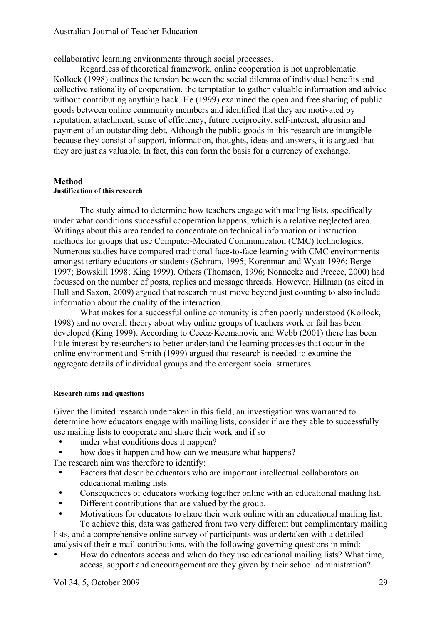collaborative learning environments through social processes.

Regardless of theoretical framework, online cooperation is not unproblematic. Kollock (1998) outlines the tension between the social dilemma of individual benefits and collective rationality of cooperation, the temptation to gather valuable information and advice without contributing anything back. He (1999) examined the open and free sharing of public goods between online community members and identified that they are motivated by reputation, attachment, sense of efficiency, future reciprocity, self-interest, altrusim and payment of an outstanding debt. Although the public goods in this research are intangible because they consist of support, information, thoughts, ideas and answers, it is argued that they are just as valuable. In fact, this can form the basis for a currency of exchange.

# **Method**

#### **Justification of this research**

The study aimed to determine how teachers engage with mailing lists, specifically under what conditions successful cooperation happens, which is a relative neglected area. Writings about this area tended to concentrate on technical information or instruction methods for groups that use Computer-Mediated Communication (CMC) technologies. Numerous studies have compared traditional face-to-face learning with CMC environments amongst tertiary educators or students (Schrum, 1995; Korenman and Wyatt 1996; Berge 1997; Bowskill 1998; King 1999). Others (Thomson, 1996; Nonnecke and Preece, 2000) had focussed on the number of posts, replies and message threads. However, Hillman (as cited in Hull and Saxon, 2009) argued that research must move beyond just counting to also include information about the quality of the interaction.

What makes for a successful online community is often poorly understood (Kollock, 1998) and no overall theory about why online groups of teachers work or fail has been developed (King 1999). According to Cecez-Kecmanovic and Webb (2001) there has been little interest by researchers to better understand the learning processes that occur in the online environment and Smith (1999) argued that research is needed to examine the aggregate details of individual groups and the emergent social structures.

## **Research aims and questions**

Given the limited research undertaken in this field, an investigation was warranted to determine how educators engage with mailing lists, consider if are they able to successfully use mailing lists to cooperate and share their work and if so

- under what conditions does it happen?
- how does it happen and how can we measure what happens?

The research aim was therefore to identify:

- Factors that describe educators who are important intellectual collaborators on educational mailing lists.
- Consequences of educators working together online with an educational mailing list.
- Different contributions that are valued by the group.
- Motivations for educators to share their work online with an educational mailing list. To achieve this, data was gathered from two very different but complimentary mailing

lists, and a comprehensive online survey of participants was undertaken with a detailed analysis of their e-mail contributions, with the following governing questions in mind:

• How do educators access and when do they use educational mailing lists? What time, access, support and encouragement are they given by their school administration?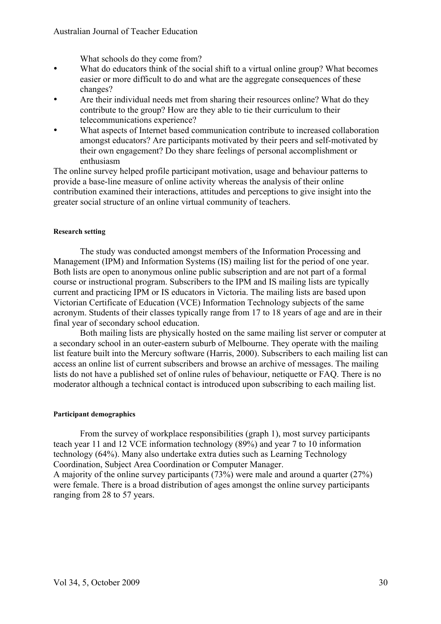# Australian Journal of Teacher Education

What schools do they come from?

- What do educators think of the social shift to a virtual online group? What becomes easier or more difficult to do and what are the aggregate consequences of these changes?
- Are their individual needs met from sharing their resources online? What do they contribute to the group? How are they able to tie their curriculum to their telecommunications experience?
- What aspects of Internet based communication contribute to increased collaboration amongst educators? Are participants motivated by their peers and self-motivated by their own engagement? Do they share feelings of personal accomplishment or enthusiasm

The online survey helped profile participant motivation, usage and behaviour patterns to provide a base-line measure of online activity whereas the analysis of their online contribution examined their interactions, attitudes and perceptions to give insight into the greater social structure of an online virtual community of teachers.

#### **Research setting**

The study was conducted amongst members of the Information Processing and Management (IPM) and Information Systems (IS) mailing list for the period of one year. Both lists are open to anonymous online public subscription and are not part of a formal course or instructional program. Subscribers to the IPM and IS mailing lists are typically current and practicing IPM or IS educators in Victoria. The mailing lists are based upon Victorian Certificate of Education (VCE) Information Technology subjects of the same acronym. Students of their classes typically range from 17 to 18 years of age and are in their final year of secondary school education.

Both mailing lists are physically hosted on the same mailing list server or computer at a secondary school in an outer-eastern suburb of Melbourne. They operate with the mailing list feature built into the Mercury software (Harris, 2000). Subscribers to each mailing list can access an online list of current subscribers and browse an archive of messages. The mailing lists do not have a published set of online rules of behaviour, netiquette or FAQ. There is no moderator although a technical contact is introduced upon subscribing to each mailing list.

#### **Participant demographics**

From the survey of workplace responsibilities (graph 1), most survey participants teach year 11 and 12 VCE information technology (89%) and year 7 to 10 information technology (64%). Many also undertake extra duties such as Learning Technology Coordination, Subject Area Coordination or Computer Manager. A majority of the online survey participants (73%) were male and around a quarter (27%) were female. There is a broad distribution of ages amongst the online survey participants

ranging from 28 to 57 years.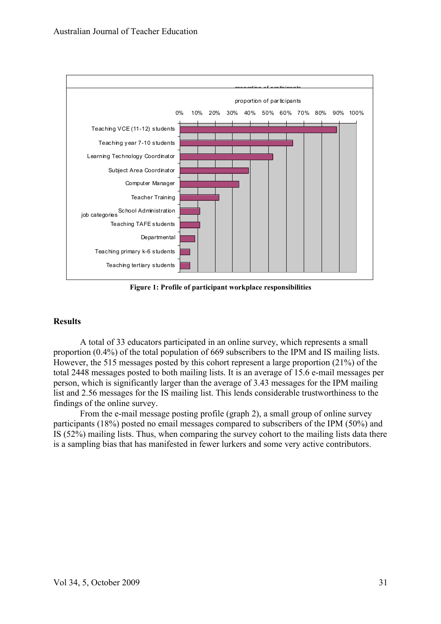

**Figure 1: Profile of participant workplace responsibilities**

# **Results**

A total of 33 educators participated in an online survey, which represents a small proportion (0.4%) of the total population of 669 subscribers to the IPM and IS mailing lists. However, the 515 messages posted by this cohort represent a large proportion (21%) of the total 2448 messages posted to both mailing lists. It is an average of 15.6 e-mail messages per person, which is significantly larger than the average of 3.43 messages for the IPM mailing list and 2.56 messages for the IS mailing list. This lends considerable trustworthiness to the findings of the online survey.

From the e-mail message posting profile (graph 2), a small group of online survey participants (18%) posted no email messages compared to subscribers of the IPM (50%) and IS (52%) mailing lists. Thus, when comparing the survey cohort to the mailing lists data there is a sampling bias that has manifested in fewer lurkers and some very active contributors.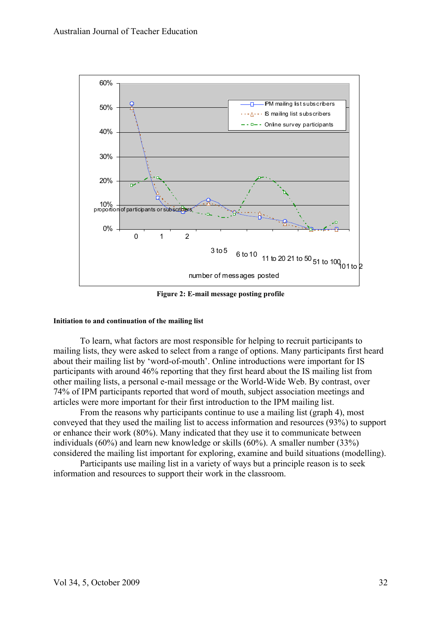

**Figure 2: E-mail message posting profile**

#### **Initiation to and continuation of the mailing list**

To learn, what factors are most responsible for helping to recruit participants to mailing lists, they were asked to select from a range of options. Many participants first heard about their mailing list by 'word-of-mouth'. Online introductions were important for IS participants with around 46% reporting that they first heard about the IS mailing list from other mailing lists, a personal e-mail message or the World-Wide Web. By contrast, over 74% of IPM participants reported that word of mouth, subject association meetings and articles were more important for their first introduction to the IPM mailing list.

From the reasons why participants continue to use a mailing list (graph 4), most conveyed that they used the mailing list to access information and resources (93%) to support or enhance their work (80%). Many indicated that they use it to communicate between individuals (60%) and learn new knowledge or skills (60%). A smaller number (33%) considered the mailing list important for exploring, examine and build situations (modelling).

Participants use mailing list in a variety of ways but a principle reason is to seek information and resources to support their work in the classroom.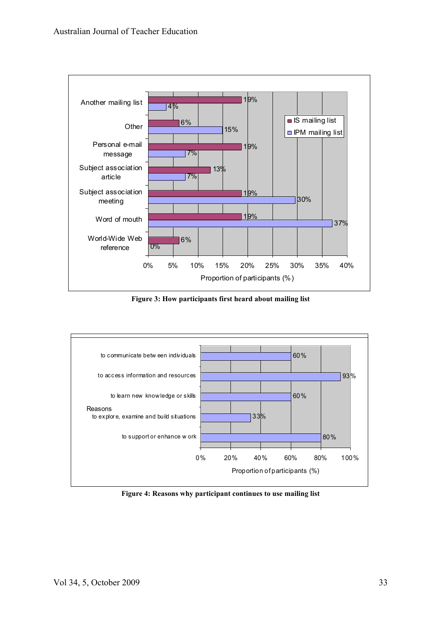

**Figure 3: How participants first heard about mailing list**



**Figure 4: Reasons why participant continues to use mailing list**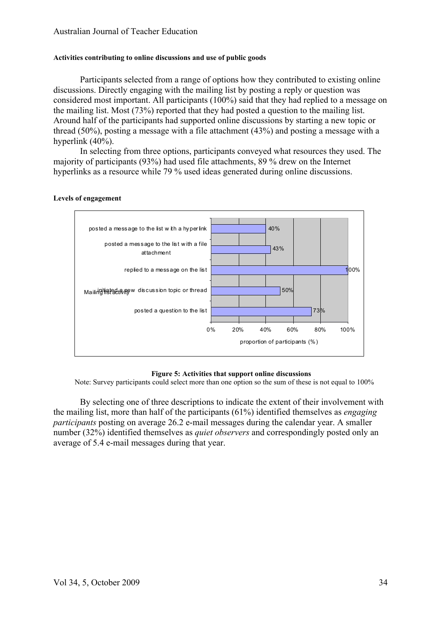#### **Activities contributing to online discussions and use of public goods**

Participants selected from a range of options how they contributed to existing online discussions. Directly engaging with the mailing list by posting a reply or question was considered most important. All participants (100%) said that they had replied to a message on the mailing list. Most (73%) reported that they had posted a question to the mailing list. Around half of the participants had supported online discussions by starting a new topic or thread (50%), posting a message with a file attachment (43%) and posting a message with a hyperlink (40%).

In selecting from three options, participants conveyed what resources they used. The majority of participants (93%) had used file attachments, 89 % drew on the Internet hyperlinks as a resource while 79 % used ideas generated during online discussions.



#### **Levels of engagement**

#### **Figure 5: Activities that support online discussions**

Note: Survey participants could select more than one option so the sum of these is not equal to 100%

By selecting one of three descriptions to indicate the extent of their involvement with the mailing list, more than half of the participants (61%) identified themselves as *engaging participants* posting on average 26.2 e-mail messages during the calendar year. A smaller number (32%) identified themselves as *quiet observers* and correspondingly posted only an average of 5.4 e-mail messages during that year.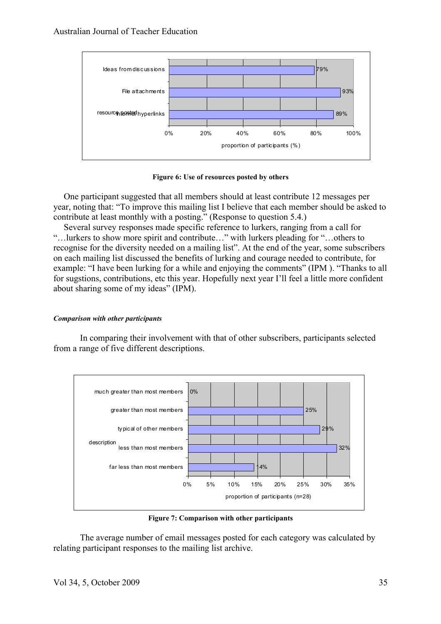

**Figure 6: Use of resources posted by others**

One participant suggested that all members should at least contribute 12 messages per year, noting that: "To improve this mailing list I believe that each member should be asked to contribute at least monthly with a posting." (Response to question 5.4.)

Several survey responses made specific reference to lurkers, ranging from a call for "…lurkers to show more spirit and contribute…" with lurkers pleading for "…others to recognise for the diversity needed on a mailing list". At the end of the year, some subscribers on each mailing list discussed the benefits of lurking and courage needed to contribute, for example: "I have been lurking for a while and enjoying the comments" (IPM ). "Thanks to all for sugstions, contributions, etc this year. Hopefully next year I'll feel a little more confident about sharing some of my ideas" (IPM).

# *Comparison with other participants*

In comparing their involvement with that of other subscribers, participants selected from a range of five different descriptions.



**Figure 7: Comparison with other participants**

The average number of email messages posted for each category was calculated by relating participant responses to the mailing list archive.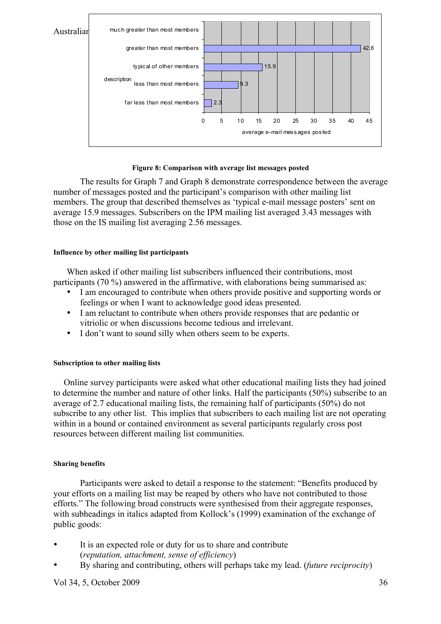

#### **Figure 8: Comparison with average list messages posted**

The results for Graph 7 and Graph 8 demonstrate correspondence between the average number of messages posted and the participant's comparison with other mailing list members. The group that described themselves as 'typical e-mail message posters' sent on average 15.9 messages. Subscribers on the IPM mailing list averaged 3.43 messages with those on the IS mailing list averaging 2.56 messages.

#### **Influence by other mailing list participants**

When asked if other mailing list subscribers influenced their contributions, most participants (70 %) answered in the affirmative, with elaborations being summarised as:

- I am encouraged to contribute when others provide positive and supporting words or feelings or when I want to acknowledge good ideas presented.
- I am reluctant to contribute when others provide responses that are pedantic or vitriolic or when discussions become tedious and irrelevant.
- I don't want to sound silly when others seem to be experts.

# **Subscription to other mailing lists**

Online survey participants were asked what other educational mailing lists they had joined to determine the number and nature of other links. Half the participants (50%) subscribe to an average of 2.7 educational mailing lists, the remaining half of participants (50%) do not subscribe to any other list. This implies that subscribers to each mailing list are not operating within in a bound or contained environment as several participants regularly cross post resources between different mailing list communities.

# **Sharing benefits**

Participants were asked to detail a response to the statement: "Benefits produced by your efforts on a mailing list may be reaped by others who have not contributed to those efforts." The following broad constructs were synthesised from their aggregate responses, with subheadings in italics adapted from Kollock's (1999) examination of the exchange of public goods:

- It is an expected role or duty for us to share and contribute (*reputation, attachment, sense of efficiency*)
- By sharing and contributing, others will perhaps take my lead. (*future reciprocity*)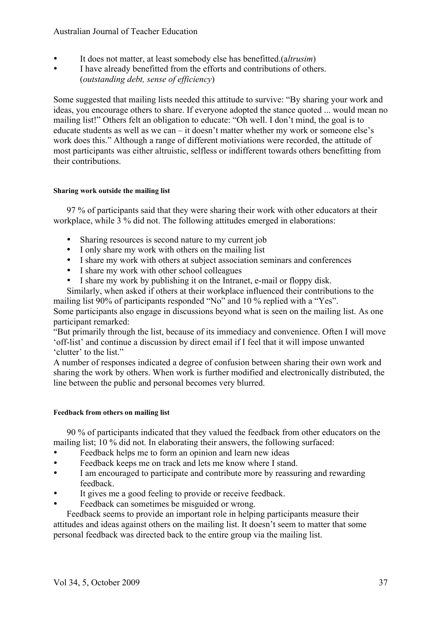# Australian Journal of Teacher Education

- It does not matter, at least somebody else has benefitted.(a*ltrusim*)<br>• I have already benefitted from the efforts and contributions of other
- I have already benefitted from the efforts and contributions of others. (*outstanding debt, sense of efficiency*)

Some suggested that mailing lists needed this attitude to survive: "By sharing your work and ideas, you encourage others to share. If everyone adopted the stance quoted ... would mean no mailing list!" Others felt an obligation to educate: "Oh well. I don't mind, the goal is to educate students as well as we can – it doesn't matter whether my work or someone else's work does this." Although a range of different motiviations were recorded, the attitude of most participants was either altruistic, selfless or indifferent towards others benefitting from their contributions.

#### **Sharing work outside the mailing list**

97 % of participants said that they were sharing their work with other educators at their workplace, while 3 % did not. The following attitudes emerged in elaborations:

- Sharing resources is second nature to my current job
- I only share my work with others on the mailing list
- I share my work with others at subject association seminars and conferences
- I share my work with other school colleagues
- I share my work by publishing it on the Intranet, e-mail or floppy disk.

Similarly, when asked if others at their workplace influenced their contributions to the mailing list 90% of participants responded "No" and 10 % replied with a "Yes".

Some participants also engage in discussions beyond what is seen on the mailing list. As one participant remarked:

"But primarily through the list, because of its immediacy and convenience. Often I will move 'off-list' and continue a discussion by direct email if I feel that it will impose unwanted 'clutter' to the list."

A number of responses indicated a degree of confusion between sharing their own work and sharing the work by others. When work is further modified and electronically distributed, the line between the public and personal becomes very blurred.

#### **Feedback from others on mailing list**

90 % of participants indicated that they valued the feedback from other educators on the mailing list; 10 % did not. In elaborating their answers, the following surfaced:

- Feedback helps me to form an opinion and learn new ideas
- Feedback keeps me on track and lets me know where I stand.
- I am encouraged to participate and contribute more by reassuring and rewarding feedback.
- It gives me a good feeling to provide or receive feedback.
- Feedback can sometimes be misguided or wrong.

Feedback seems to provide an important role in helping participants measure their attitudes and ideas against others on the mailing list. It doesn't seem to matter that some personal feedback was directed back to the entire group via the mailing list.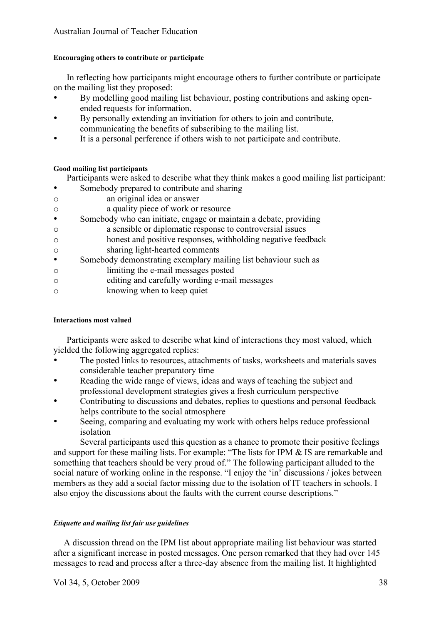# **Encouraging others to contribute or participate**

In reflecting how participants might encourage others to further contribute or participate on the mailing list they proposed:

- By modelling good mailing list behaviour, posting contributions and asking openended requests for information.
- By personally extending an invitiation for others to join and contribute, communicating the benefits of subscribing to the mailing list.
- It is a personal perference if others wish to not participate and contribute.

# **Good mailing list participants**

- Participants were asked to describe what they think makes a good mailing list participant:
- Somebody prepared to contribute and sharing
- o an original idea or answer
- o a quality piece of work or resource
- Somebody who can initiate, engage or maintain a debate, providing
- o a sensible or diplomatic response to controversial issues
- o honest and positive responses, withholding negative feedback
- o sharing light-hearted comments
- Somebody demonstrating exemplary mailing list behaviour such as
- o limiting the e-mail messages posted
- o editing and carefully wording e-mail messages
- o knowing when to keep quiet

# **Interactions most valued**

Participants were asked to describe what kind of interactions they most valued, which yielded the following aggregated replies:

- The posted links to resources, attachments of tasks, worksheets and materials saves considerable teacher preparatory time
- Reading the wide range of views, ideas and ways of teaching the subject and professional development strategies gives a fresh curriculum perspective
- Contributing to discussions and debates, replies to questions and personal feedback helps contribute to the social atmosphere
- Seeing, comparing and evaluating my work with others helps reduce professional isolation

Several participants used this question as a chance to promote their positive feelings and support for these mailing lists. For example: "The lists for IPM & IS are remarkable and something that teachers should be very proud of." The following participant alluded to the social nature of working online in the response. "I enjoy the 'in' discussions / jokes between members as they add a social factor missing due to the isolation of IT teachers in schools. I also enjoy the discussions about the faults with the current course descriptions."

# *Etiquette and mailing list fair use guidelines*

A discussion thread on the IPM list about appropriate mailing list behaviour was started after a significant increase in posted messages. One person remarked that they had over 145 messages to read and process after a three-day absence from the mailing list. It highlighted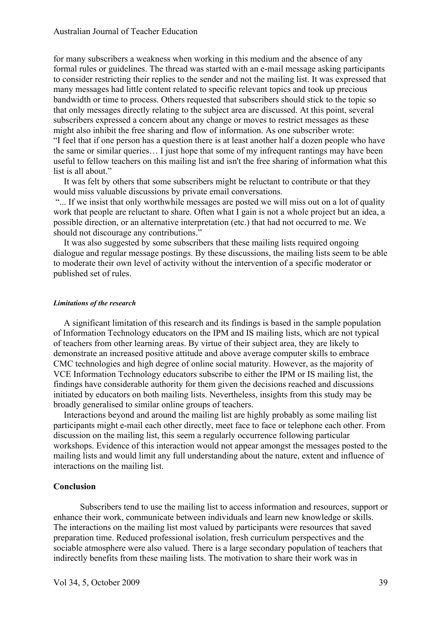for many subscribers a weakness when working in this medium and the absence of any formal rules or guidelines. The thread was started with an e-mail message asking participants to consider restricting their replies to the sender and not the mailing list. It was expressed that many messages had little content related to specific relevant topics and took up precious bandwidth or time to process. Others requested that subscribers should stick to the topic so that only messages directly relating to the subject area are discussed. At this point, several subscribers expressed a concern about any change or moves to restrict messages as these might also inhibit the free sharing and flow of information. As one subscriber wrote: "I feel that if one person has a question there is at least another half a dozen people who have the same or similar queries… I just hope that some of my infrequent rantings may have been useful to fellow teachers on this mailing list and isn't the free sharing of information what this list is all about."

It was felt by others that some subscribers might be reluctant to contribute or that they would miss valuable discussions by private email conversations.

"... If we insist that only worthwhile messages are posted we will miss out on a lot of quality work that people are reluctant to share. Often what I gain is not a whole project but an idea, a possible direction, or an alternative interpretation (etc.) that had not occurred to me. We should not discourage any contributions."

It was also suggested by some subscribers that these mailing lists required ongoing dialogue and regular message postings. By these discussions, the mailing lists seem to be able to moderate their own level of activity without the intervention of a specific moderator or published set of rules.

#### *Limitations of the research*

A significant limitation of this research and its findings is based in the sample population of Information Technology educators on the IPM and IS mailing lists, which are not typical of teachers from other learning areas. By virtue of their subject area, they are likely to demonstrate an increased positive attitude and above average computer skills to embrace CMC technologies and high degree of online social maturity. However, as the majority of VCE Information Technology educators subscribe to either the IPM or IS mailing list, the findings have considerable authority for them given the decisions reached and discussions initiated by educators on both mailing lists. Nevertheless, insights from this study may be broadly generalised to similar online groups of teachers.

Interactions beyond and around the mailing list are highly probably as some mailing list participants might e-mail each other directly, meet face to face or telephone each other. From discussion on the mailing list, this seem a regularly occurrence following particular workshops. Evidence of this interaction would not appear amongst the messages posted to the mailing lists and would limit any full understanding about the nature, extent and influence of interactions on the mailing list.

#### **Conclusion**

Subscribers tend to use the mailing list to access information and resources, support or enhance their work, communicate between individuals and learn new knowledge or skills. The interactions on the mailing list most valued by participants were resources that saved preparation time. Reduced professional isolation, fresh curriculum perspectives and the sociable atmosphere were also valued. There is a large secondary population of teachers that indirectly benefits from these mailing lists. The motivation to share their work was in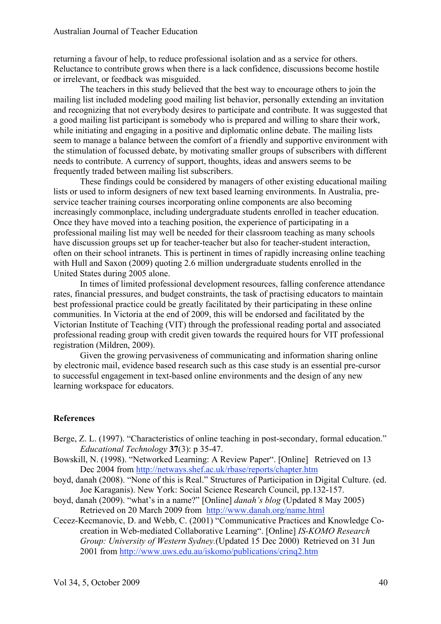returning a favour of help, to reduce professional isolation and as a service for others. Reluctance to contribute grows when there is a lack confidence, discussions become hostile or irrelevant, or feedback was misguided.

The teachers in this study believed that the best way to encourage others to join the mailing list included modeling good mailing list behavior, personally extending an invitation and recognizing that not everybody desires to participate and contribute. It was suggested that a good mailing list participant is somebody who is prepared and willing to share their work, while initiating and engaging in a positive and diplomatic online debate. The mailing lists seem to manage a balance between the comfort of a friendly and supportive environment with the stimulation of focussed debate, by motivating smaller groups of subscribers with different needs to contribute. A currency of support, thoughts, ideas and answers seems to be frequently traded between mailing list subscribers.

These findings could be considered by managers of other existing educational mailing lists or used to inform designers of new text based learning environments. In Australia, preservice teacher training courses incorporating online components are also becoming increasingly commonplace, including undergraduate students enrolled in teacher education. Once they have moved into a teaching position, the experience of participating in a professional mailing list may well be needed for their classroom teaching as many schools have discussion groups set up for teacher-teacher but also for teacher-student interaction, often on their school intranets. This is pertinent in times of rapidly increasing online teaching with Hull and Saxon (2009) quoting 2.6 million undergraduate students enrolled in the United States during 2005 alone.

In times of limited professional development resources, falling conference attendance rates, financial pressures, and budget constraints, the task of practising educators to maintain best professional practice could be greatly facilitated by their participating in these online communities. In Victoria at the end of 2009, this will be endorsed and facilitated by the Victorian Institute of Teaching (VIT) through the professional reading portal and associated professional reading group with credit given towards the required hours for VIT professional registration (Mildren, 2009).

Given the growing pervasiveness of communicating and information sharing online by electronic mail, evidence based research such as this case study is an essential pre-cursor to successful engagement in text-based online environments and the design of any new learning workspace for educators.

# **References**

- Berge, Z. L. (1997). "Characteristics of online teaching in post-secondary, formal education." *Educational Technology* **37**(3): p 35-47.
- Bowskill, N. (1998). "Networked Learning: A Review Paper". [Online] Retrieved on 13 Dec 2004 from http://netways.shef.ac.uk/rbase/reports/chapter.htm
- boyd, danah (2008). "None of this is Real." Structures of Participation in Digital Culture. (ed. Joe Karaganis). New York: Social Science Research Council, pp.132-157.
- boyd, danah (2009). "what's in a name?" [Online] *danah's blog* (Updated 8 May 2005) Retrieved on 20 March 2009 from http://www.danah.org/name.html
- Cecez-Kecmanovic, D. and Webb, C. (2001) "Communicative Practices and Knowledge Cocreation in Web-mediated Collaborative Learning". [Online] *IS-KOMO Research Group: University of Western Sydney.*(Updated 15 Dec 2000) Retrieved on 31 Jun 2001 from http://www.uws.edu.au/iskomo/publications/crinq2.htm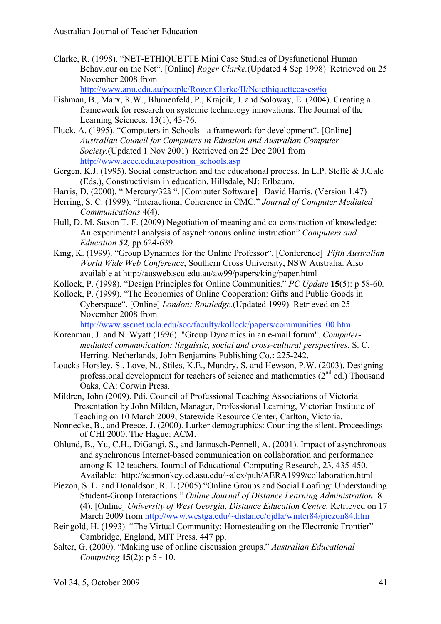Clarke, R. (1998). "NET-ETHIQUETTE Mini Case Studies of Dysfunctional Human Behaviour on the Net". [Online] *Roger Clarke.*(Updated 4 Sep 1998) Retrieved on 25 November 2008 from

http://www.anu.edu.au/people/Roger.Clarke/II/Netethiquettecases#io

- Fishman, B., Marx, R.W., Blumenfeld, P., Krajcik, J. and Soloway, E. (2004). Creating a framework for research on systemic technology innovations. The Journal of the Learning Sciences. 13(1), 43-76.
- Fluck, A. (1995). "Computers in Schools a framework for development". [Online] *Australian Council for Computers in Eduation and Australian Computer Society.*(Updated 1 Nov 2001) Retrieved on 25 Dec 2001 from http://www.acce.edu.au/position\_schools.asp
- Gergen, K.J. (1995). Social construction and the educational process. In L.P. Steffe & J.Gale (Eds.), Constructivism in education. Hillsdale, NJ: Erlbaum.
- Harris, D. (2000). " Mercury/32â ". [Computer Software] David Harris. (Version 1.47)
- Herring, S. C. (1999). "Interactional Coherence in CMC." *Journal of Computer Mediated Communications* **4**(4).
- Hull, D. M. Saxon T. F. (2009) Negotiation of meaning and co-construction of knowledge: An experimental analysis of asynchronous online instruction" *Computers and Education 52,* pp.624-639.
- King, K. (1999). "Group Dynamics for the Online Professor". [Conference] *Fifth Australian World Wide Web Conference*, Southern Cross University, NSW Australia. Also available at http://ausweb.scu.edu.au/aw99/papers/king/paper.html
- Kollock, P. (1998). "Design Principles for Online Communities." *PC Update* **15**(5): p 58-60.
- Kollock, P. (1999). "The Economies of Online Cooperation: Gifts and Public Goods in Cyberspace". [Online] *London: Routledge.*(Updated 1999) Retrieved on 25 November 2008 from

http://www.sscnet.ucla.edu/soc/faculty/kollock/papers/communities\_00.htm

- Korenman, J. and N. Wyatt (1996). "Group Dynamics in an e-mail forum". *Computermediated communication: linguistic, social and cross-cultural perspectives*. S. C. Herring. Netherlands, John Benjamins Publishing Co.**:** 225-242.
- Loucks-Horsley, S., Love, N., Stiles, K.E., Mundry, S. and Hewson, P.W. (2003). Designing professional development for teachers of science and mathematics  $(2<sup>nd</sup>$  ed.) Thousand Oaks, CA: Corwin Press.
- Mildren, John (2009). Pdi. Council of Professional Teaching Associations of Victoria. Presentation by John Milden, Manager, Professional Learning, Victorian Institute of Teaching on 10 March 2009, Statewide Resource Center, Carlton, Victoria.
- Nonnecke, B., and Preece, J. (2000). Lurker demographics: Counting the silent. Proceedings of CHI 2000. The Hague: ACM.
- Ohlund, B., Yu, C.H., DiGangi, S., and Jannasch-Pennell, A. (2001). Impact of asynchronous and synchronous Internet-based communication on collaboration and performance among K-12 teachers. Journal of Educational Computing Research, 23, 435-450. Available: http://seamonkey.ed.asu.edu/~alex/pub/AERA1999/collaboration.html
- Piezon, S. L. and Donaldson, R. L (2005) "Online Groups and Social Loafing: Understanding Student-Group Interactions." *Online Journal of Distance Learning Administration*. 8 (4). [Online] *University of West Georgia, Distance Education Centre.* Retrieved on 17 March 2009 from http://www.westga.edu/~distance/ojdla/winter84/piezon84.htm
- Reingold, H. (1993). "The Virtual Community: Homesteading on the Electronic Frontier" Cambridge, England, MIT Press. 447 pp.
- Salter, G. (2000). "Making use of online discussion groups." *Australian Educational Computing* **15**(2): p 5 - 10.